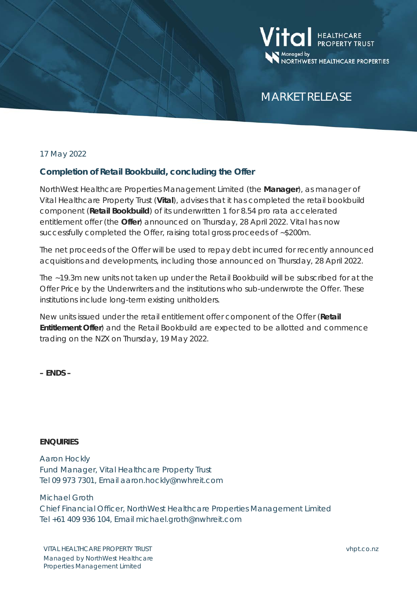

# MARKET RELEASE

## 17 May 2022

# **Completion of Retail Bookbuild, concluding the Offer**

NorthWest Healthcare Properties Management Limited (the **Manager**), as manager of Vital Healthcare Property Trust (**Vital**), advises that it has completed the retail bookbuild component (**Retail Bookbuild**) of its underwritten 1 for 8.54 pro rata accelerated entitlement offer (the **Offer**) announced on Thursday, 28 April 2022. Vital has now successfully completed the Offer, raising total gross proceeds of ~\$200m.

The net proceeds of the Offer will be used to repay debt incurred for recently announced acquisitions and developments, including those announced on Thursday, 28 April 2022.

The ~19.3m new units not taken up under the Retail Bookbuild will be subscribed for at the Offer Price by the Underwriters and the institutions who sub-underwrote the Offer. These institutions include long-term existing unitholders.

New units issued under the retail entitlement offer component of the Offer (**Retail Entitlement Offer**) and the Retail Bookbuild are expected to be allotted and commence trading on the NZX on Thursday, 19 May 2022.

**– ENDS –**

#### **ENQUIRIES**

Aaron Hockly Fund Manager, Vital Healthcare Property Trust Tel 09 973 7301, Email aaron.hockly@nwhreit.com

Michael Groth

Chief Financial Officer, NorthWest Healthcare Properties Management Limited Tel +61 409 936 104, Email michael.groth@nwhreit.com